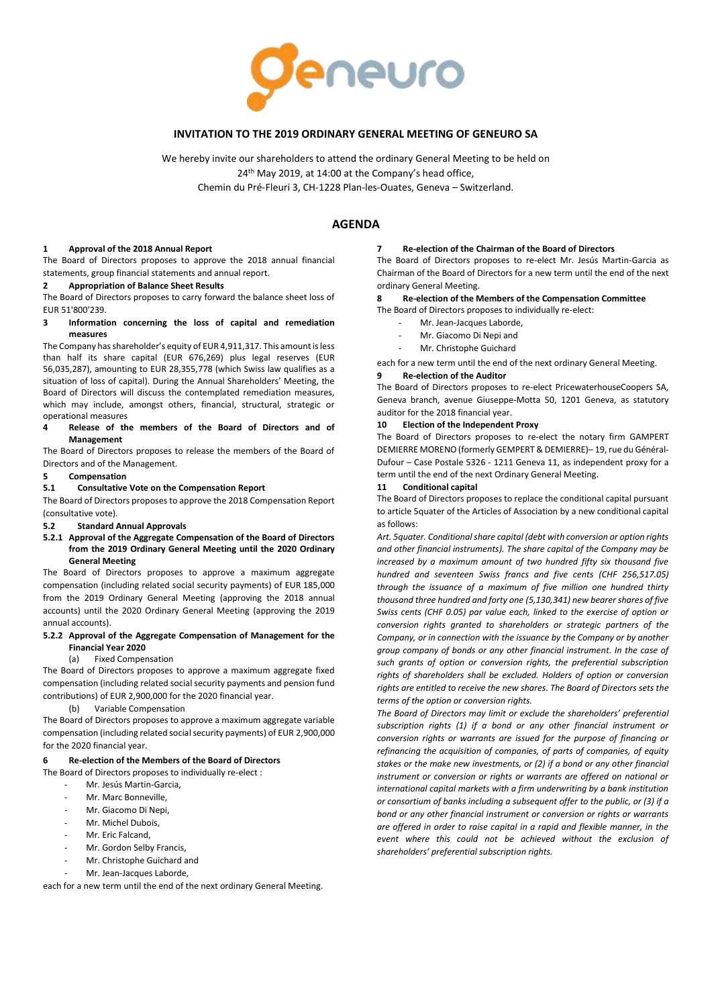

## **INVITATION TO THE 2019 ORDINARY GENERAL MEETING OF GENEURO SA**

We hereby invite our shareholders to attend the ordinary General Meeting to be held on 24<sup>th</sup> May 2019, at 14:00 at the Company's head office, Chemin du Pré-Fleuri 3, CH-1228 Plan-les-Ouates, Geneva – Switzerland.

# **AGENDA**

## **1 Approval of the 2018 Annual Report**

The Board of Directors proposes to approve the 2018 annual financial statements, group financial statements and annual report.

## **2 Appropriation of Balance Sheet Results**

The Board of Directors proposes to carry forward the balance sheet loss of EUR 51'800'239.

## **3 Information concerning the loss of capital and remediation measures**

The Company has shareholder's equity of EUR 4,911,317. This amount is less than half its share capital (EUR 676,269) plus legal reserves (EUR 56,035,287), amounting to EUR 28,355,778 (which Swiss law qualifies as a situation of loss of capital). During the Annual Shareholders' Meeting, the Board of Directors will discuss the contemplated remediation measures, which may include, amongst others, financial, structural, strategic or operational measures

#### **4 Release of the members of the Board of Directors and of Management**

The Board of Directors proposes to release the members of the Board of Directors and of the Management.

## **5 Compensation**

## **5.1 Consultative Vote on the Compensation Report**

The Board of Directors proposes to approve the 2018 Compensation Report (consultative vote).

#### **5.2 Standard Annual Approvals**

## **5.2.1 Approval of the Aggregate Compensation of the Board of Directors from the 2019 Ordinary General Meeting until the 2020 Ordinary General Meeting**

The Board of Directors proposes to approve a maximum aggregate compensation (including related social security payments) of EUR 185,000 from the 2019 Ordinary General Meeting (approving the 2018 annual accounts) until the 2020 Ordinary General Meeting (approving the 2019 annual accounts).

## **5.2.2 Approval of the Aggregate Compensation of Management for the Financial Year 2020**

## (a) Fixed Compensation

The Board of Directors proposes to approve a maximum aggregate fixed compensation (including related social security payments and pension fund contributions) of EUR 2,900,000 for the 2020 financial year.

(b) Variable Compensation

The Board of Directors proposes to approve a maximum aggregate variable compensation (including related social security payments) of EUR 2,900,000 for the 2020 financial year.

#### **6 Re-election of the Members of the Board of Directors**

- The Board of Directors proposes to individually re-elect :
	- Mr. Jesús Martin-Garcia.
	- Mr. Marc Bonneville.
	- Mr. Giacomo Di Nepi
	- Mr. Michel Dubois,
	- Mr. Eric Falcand,
	- Mr. Gordon Selby Francis,
	- Mr. Christophe Guichard and
	- Mr. Jean-Jacques Laborde,

each for a new term until the end of the next ordinary General Meeting.

### **7 Re-election of the Chairman of the Board of Directors**

The Board of Directors proposes to re-elect Mr. Jesús Martin-Garcia as Chairman of the Board of Directors for a new term until the end of the next ordinary General Meeting.

### **8 Re-election of the Members of the Compensation Committee**

- The Board of Directors proposes to individually re-elect:
	- Mr. Jean-Jacques Laborde.
	- Mr. Giacomo Di Nepi and
	- Mr. Christophe Guichard

each for a new term until the end of the next ordinary General Meeting.

### **9 Re-election of the Auditor**

The Board of Directors proposes to re-elect PricewaterhouseCoopers SA, Geneva branch, avenue Giuseppe-Motta 50, 1201 Geneva, as statutory auditor for the 2018 financial year.

### **10 Election of the Independent Proxy**

The Board of Directors proposes to re-elect the notary firm GAMPERT DEMIERRE MORENO(formerly GEMPERT & DEMIERRE)– 19, rue du Général-Dufour – Case Postale 5326 - 1211 Geneva 11, as independent proxy for a term until the end of the next Ordinary General Meeting.

#### **11 Conditional capital**

The Board of Directors proposes to replace the conditional capital pursuant to article 5quater of the Articles of Association by a new conditional capital as follows:

*Art. 5quater. Conditional share capital (debt with conversion or option rights and other financial instruments). The share capital of the Company may be increased by a maximum amount of two hundred fifty six thousand five hundred and seventeen Swiss francs and five cents (CHF 256,517.05) through the issuance of a maximum of five million one hundred thirty thousand three hundred and forty one (5,130,341) new bearer shares of five Swiss cents (CHF 0.05) par value each, linked to the exercise of option or conversion rights granted to shareholders or strategic partners of the Company, or in connection with the issuance by the Company or by another group company of bonds or any other financial instrument. In the case of such grants of option or conversion rights, the preferential subscription rights of shareholders shall be excluded. Holders of option or conversion rights are entitled to receive the new shares. The Board of Directors sets the terms of the option or conversion rights.*

*The Board of Directors may limit or exclude the shareholders' preferential subscription rights (1) if a bond or any other financial instrument or conversion rights or warrants are issued for the purpose of financing or refinancing the acquisition of companies, of parts of companies, of equity stakes or the make new investments, or (2) if a bond or any other financial instrument or conversion or rights or warrants are offered on national or international capital markets with a firm underwriting by a bank institution or consortium of banks including a subsequent offer to the public, or (3) if a bond or any other financial instrument or conversion or rights or warrants are offered in order to raise capital in a rapid and flexible manner, in the event where this could not be achieved without the exclusion of shareholders' preferential subscription rights.*